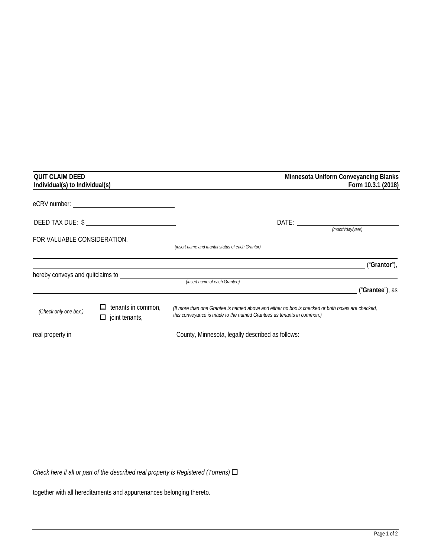| <b>QUIT CLAIM DEED</b><br>Individual(s) to Individual(s) |                                             | Minnesota Uniform Conveyancing Blanks<br>Form 10.3.1 (2018)                                                                                                              |  |
|----------------------------------------------------------|---------------------------------------------|--------------------------------------------------------------------------------------------------------------------------------------------------------------------------|--|
|                                                          |                                             |                                                                                                                                                                          |  |
| DEED TAX DUE: \$                                         |                                             | DATE:<br>(month/day/year)                                                                                                                                                |  |
| FOR VALUABLE CONSIDERATION,                              |                                             | (insert name and marital status of each Grantor)                                                                                                                         |  |
|                                                          |                                             | ("Grantor"),                                                                                                                                                             |  |
|                                                          | hereby conveys and quitclaims to            | (insert name of each Grantee)<br>("Grantee"), as                                                                                                                         |  |
| (Check only one box.)                                    | tenants in common,<br>$\Box$ joint tenants, | (If more than one Grantee is named above and either no box is checked or both boxes are checked,<br>this conveyance is made to the named Grantees as tenants in common.) |  |
| real property in                                         |                                             | County, Minnesota, legally described as follows:                                                                                                                         |  |

*Check here if all or part of the described real property is Registered (Torrens)*

together with all hereditaments and appurtenances belonging thereto.